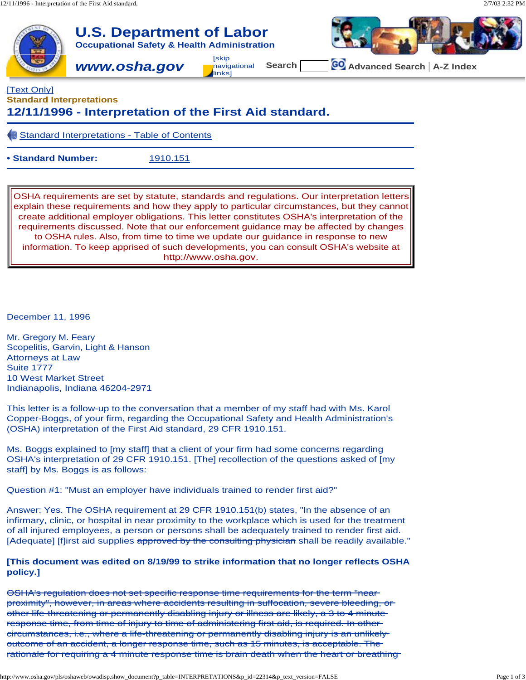

## [Text Only] **Standard Interpretations**

# **12/11/1996 - Interpretation of the First Aid standard.**

Standard Interpretations - Table of Contents

**• Standard Number:** 1910.151

OSHA requirements are set by statute, standards and regulations. Our interpretation letters explain these requirements and how they apply to particular circumstances, but they cannot create additional employer obligations. This letter constitutes OSHA's interpretation of the requirements discussed. Note that our enforcement guidance may be affected by changes to OSHA rules. Also, from time to time we update our guidance in response to new information. To keep apprised of such developments, you can consult OSHA's website at [http://www.osha.gov.](http://www.osha.gov)

December 11, 1996

Mr. Gregory M. Feary Scopelitis, Garvin, Light & Hanson Attorneys at Law Suite 1777 10 West Market Street Indianapolis, Indiana 46204-2971

This letter is a follow-up to the conversation that a member of my staff had with Ms. Karol Copper-Boggs, of your firm, regarding the Occupational Safety and Health Administration's (OSHA) interpretation of the First Aid standard, 29 CFR 1910.151.

Ms. Boggs explained to [my staff] that a client of your firm had some concerns regarding OSHA's interpretation of 29 CFR 1910.151. [The] recollection of the questions asked of [my staff] by Ms. Boggs is as follows:

Question #1: "Must an employer have individuals trained to render first aid?"

Answer: Yes. The OSHA requirement at 29 CFR 1910.151(b) states, "In the absence of an infirmary, clinic, or hospital in near proximity to the workplace which is used for the treatment of all injured employees, a person or persons shall be adequately trained to render first aid. [Adequate] [f]irst aid supplies approved by the consulting physician shall be readily available."

### **[This document was edited on 8/19/99 to strike information that no longer reflects OSHA policy.]**

OSHA's regulation does not set specific response time requirements for the term "near proximity", however, in areas where accidents resulting in suffocation, severe bleeding, or other life-threatening or permanently disabling injury or illness are likely, a 3 to 4 minute response time, from time of injury to time of administering first aid, is required. In other circumstances, i.e., where a life-threatening or permanently disabling injury is an unlikely outcome of an accident, a longer response time, such as 15 minutes, is acceptable. The rationale for requiring a 4 minute response time is brain death when the heart or breathing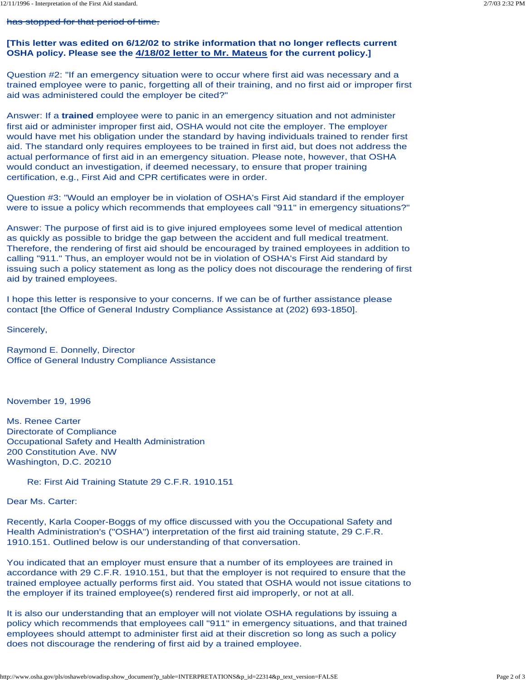#### has stopped for that period of time.

#### **[This letter was edited on 6/12/02 to strike information that no longer reflects current OSHA policy. Please see the 4/18/02 letter to Mr. Mateus for the current policy.]**

Question #2: "If an emergency situation were to occur where first aid was necessary and a trained employee were to panic, forgetting all of their training, and no first aid or improper first aid was administered could the employer be cited?"

Answer: If a **trained** employee were to panic in an emergency situation and not administer first aid or administer improper first aid, OSHA would not cite the employer. The employer would have met his obligation under the standard by having individuals trained to render first aid. The standard only requires employees to be trained in first aid, but does not address the actual performance of first aid in an emergency situation. Please note, however, that OSHA would conduct an investigation, if deemed necessary, to ensure that proper training certification, e.g., First Aid and CPR certificates were in order.

Question #3: "Would an employer be in violation of OSHA's First Aid standard if the employer were to issue a policy which recommends that employees call "911" in emergency situations?"

Answer: The purpose of first aid is to give injured employees some level of medical attention as quickly as possible to bridge the gap between the accident and full medical treatment. Therefore, the rendering of first aid should be encouraged by trained employees in addition to calling "911." Thus, an employer would not be in violation of OSHA's First Aid standard by issuing such a policy statement as long as the policy does not discourage the rendering of first aid by trained employees.

I hope this letter is responsive to your concerns. If we can be of further assistance please contact [the Office of General Industry Compliance Assistance at (202) 693-1850].

Sincerely,

Raymond E. Donnelly, Director Office of General Industry Compliance Assistance

November 19, 1996

Ms. Renee Carter Directorate of Compliance Occupational Safety and Health Administration 200 Constitution Ave. NW Washington, D.C. 20210

Re: First Aid Training Statute 29 C.F.R. 1910.151

Dear Ms. Carter:

Recently, Karla Cooper-Boggs of my office discussed with you the Occupational Safety and Health Administration's ("OSHA") interpretation of the first aid training statute, 29 C.F.R. 1910.151. Outlined below is our understanding of that conversation.

You indicated that an employer must ensure that a number of its employees are trained in accordance with 29 C.F.R. 1910.151, but that the employer is not required to ensure that the trained employee actually performs first aid. You stated that OSHA would not issue citations to the employer if its trained employee(s) rendered first aid improperly, or not at all.

It is also our understanding that an employer will not violate OSHA regulations by issuing a policy which recommends that employees call "911" in emergency situations, and that trained employees should attempt to administer first aid at their discretion so long as such a policy does not discourage the rendering of first aid by a trained employee.